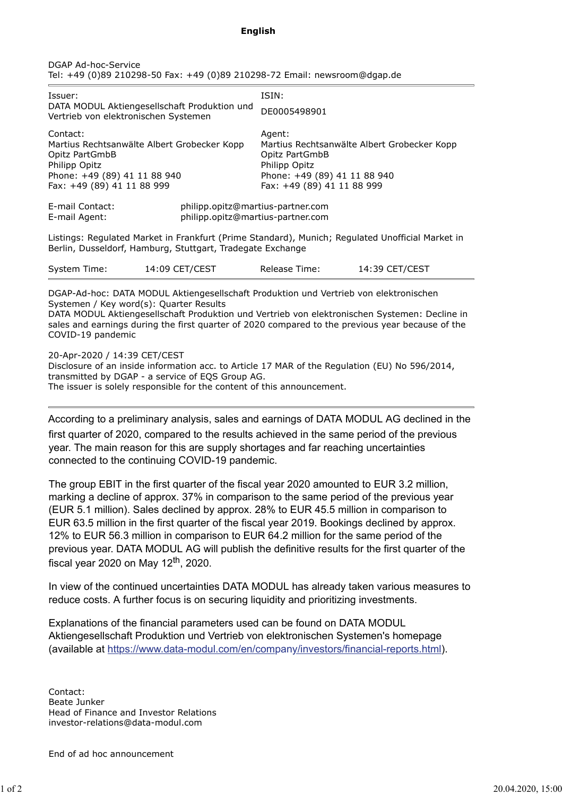## **English**

| DGAP Ad-hoc-Service |                                                                           |
|---------------------|---------------------------------------------------------------------------|
|                     | Tel: +49 (0)89 210298-50 Fax: +49 (0)89 210298-72 Email: newsroom@dgap.de |

| Issuer:<br>DATA MODUL Aktiengesellschaft Produktion und<br>Vertrieb von elektronischen Systemen                                                                                                                                                                                                                                                            |                                                                        | ISIN:<br>DE0005498901                                                                                                                                  |                |  |
|------------------------------------------------------------------------------------------------------------------------------------------------------------------------------------------------------------------------------------------------------------------------------------------------------------------------------------------------------------|------------------------------------------------------------------------|--------------------------------------------------------------------------------------------------------------------------------------------------------|----------------|--|
| Contact:<br>Martius Rechtsanwälte Albert Grobecker Kopp<br>Opitz PartGmbB<br>Philipp Opitz<br>Phone: +49 (89) 41 11 88 940<br>Fax: +49 (89) 41 11 88 999                                                                                                                                                                                                   |                                                                        | Agent:<br>Martius Rechtsanwälte Albert Grobecker Kopp<br>Opitz PartGmbB<br>Philipp Opitz<br>Phone: +49 (89) 41 11 88 940<br>Fax: +49 (89) 41 11 88 999 |                |  |
| F-mail Contact:<br>E-mail Agent:                                                                                                                                                                                                                                                                                                                           | philipp.opitz@martius-partner.com<br>philipp.opitz@martius-partner.com |                                                                                                                                                        |                |  |
| Listings: Regulated Market in Frankfurt (Prime Standard), Munich; Regulated Unofficial Market in<br>Berlin, Dusseldorf, Hamburg, Stuttgart, Tradegate Exchange                                                                                                                                                                                             |                                                                        |                                                                                                                                                        |                |  |
| System Time:                                                                                                                                                                                                                                                                                                                                               | 14:09 CET/CEST                                                         | Release Time:                                                                                                                                          | 14:39 CET/CEST |  |
| DGAP-Ad-hoc: DATA MODUL Aktiengesellschaft Produktion und Vertrieb von elektronischen<br>Systemen / Key word(s): Quarter Results<br>DATA MODUL Aktiengesellschaft Produktion und Vertrieb von elektronischen Systemen: Decline in<br>sales and earnings during the first quarter of 2020 compared to the previous year because of the<br>COVID-19 pandemic |                                                                        |                                                                                                                                                        |                |  |

20-Apr-2020 / 14:39 CET/CEST

Disclosure of an inside information acc. to Article 17 MAR of the Regulation (EU) No 596/2014, transmitted by DGAP - a service of EQS Group AG. The issuer is solely responsible for the content of this announcement.

According to a preliminary analysis, sales and earnings of DATA MODUL AG declined in the

first quarter of 2020, compared to the results achieved in the same period of the previous year. The main reason for this are supply shortages and far reaching uncertainties connected to the continuing COVID-19 pandemic.

The group EBIT in the first quarter of the fiscal year 2020 amounted to EUR 3.2 million, marking a decline of approx. 37% in comparison to the same period of the previous year (EUR 5.1 million). Sales declined by approx. 28% to EUR 45.5 million in comparison to EUR 63.5 million in the first quarter of the fiscal year 2019. Bookings declined by approx. 12% to EUR 56.3 million in comparison to EUR 64.2 million for the same period of the previous year. DATA MODUL AG will publish the definitive results for the first quarter of the fiscal year 2020 on May  $12<sup>th</sup>$ , 2020.

In view of the continued uncertainties DATA MODUL has already taken various measures to reduce costs. A further focus is on securing liquidity and prioritizing investments.

Explanations of the financial parameters used can be found on DATA MODUL Aktiengesellschaft Produktion und Vertrieb von elektronischen Systemen's homepage (available at https://www.data-modul.com/en/company/investors/financial-reports.html).

Contact: Beate Junker Head of Finance and Investor Relations investor-relations@data-modul.com

End of ad hoc announcement